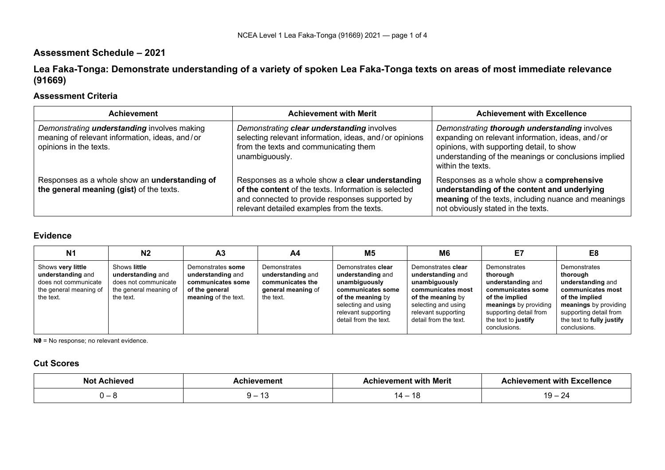# **Assessment Schedule – 2021**

**Lea Faka-Tonga: Demonstrate understanding of a variety of spoken Lea Faka-Tonga texts on areas of most immediate relevance (91669)**

## **Assessment Criteria**

| <b>Achievement</b>                                                                                                             | <b>Achievement with Merit</b>                                                                                                                                                                            | <b>Achievement with Excellence</b>                                                                                                                                                                                          |
|--------------------------------------------------------------------------------------------------------------------------------|----------------------------------------------------------------------------------------------------------------------------------------------------------------------------------------------------------|-----------------------------------------------------------------------------------------------------------------------------------------------------------------------------------------------------------------------------|
| Demonstrating <i>understanding</i> involves making<br>meaning of relevant information, ideas, and/or<br>opinions in the texts. | Demonstrating clear understanding involves<br>selecting relevant information, ideas, and/or opinions<br>from the texts and communicating them<br>unambiguously.                                          | Demonstrating thorough understanding involves<br>expanding on relevant information, ideas, and/or<br>opinions, with supporting detail, to show<br>understanding of the meanings or conclusions implied<br>within the texts. |
| Responses as a whole show an understanding of<br>the general meaning (gist) of the texts.                                      | Responses as a whole show a clear understanding<br>of the content of the texts. Information is selected<br>and connected to provide responses supported by<br>relevant detailed examples from the texts. | Responses as a whole show a comprehensive<br>understanding of the content and underlying<br>meaning of the texts, including nuance and meanings<br>not obviously stated in the texts.                                       |

## **Evidence**

| N <sub>1</sub>                                                                                        | N <sub>2</sub>                                                                                   | A <sub>3</sub>                                                                                        | A4                                                                                       | M5                                                                                                                                                                        | M <sub>6</sub>                                                                                                                                                            | E7                                                                                                                                                                             | E <sub>8</sub>                                                                                                                                                                       |
|-------------------------------------------------------------------------------------------------------|--------------------------------------------------------------------------------------------------|-------------------------------------------------------------------------------------------------------|------------------------------------------------------------------------------------------|---------------------------------------------------------------------------------------------------------------------------------------------------------------------------|---------------------------------------------------------------------------------------------------------------------------------------------------------------------------|--------------------------------------------------------------------------------------------------------------------------------------------------------------------------------|--------------------------------------------------------------------------------------------------------------------------------------------------------------------------------------|
| Shows very little<br>understanding and<br>does not communicate<br>the general meaning of<br>the text. | Shows little<br>understanding and<br>does not communicate<br>the general meaning of<br>the text. | Demonstrates some<br>understanding and<br>communicates some<br>of the general<br>meaning of the text. | Demonstrates<br>understanding and<br>communicates the<br>general meaning of<br>the text. | Demonstrates clear<br>understanding and<br>unambiguously<br>communicates some<br>of the meaning by<br>selecting and using<br>relevant supporting<br>detail from the text. | Demonstrates clear<br>understanding and<br>unambiguously<br>communicates most<br>of the meaning by<br>selecting and using<br>relevant supporting<br>detail from the text. | Demonstrates<br>thorouah<br>understanding and<br>communicates some<br>of the implied<br>meanings by providing<br>supporting detail from<br>the text to justify<br>conclusions. | Demonstrates<br>thorough<br>understanding and<br>communicates most<br>of the implied<br>meanings by providing<br>supporting detail from<br>the text to fully justify<br>conclusions. |

**N0** = No response; no relevant evidence.

#### **Cut Scores**

| הוח |   | Merit<br>wit                                  | with<br>300011<br>.      |
|-----|---|-----------------------------------------------|--------------------------|
| .   | - | $\overline{\phantom{a}}$<br>. .<br>1 C<br>. . | $\overline{\phantom{0}}$ |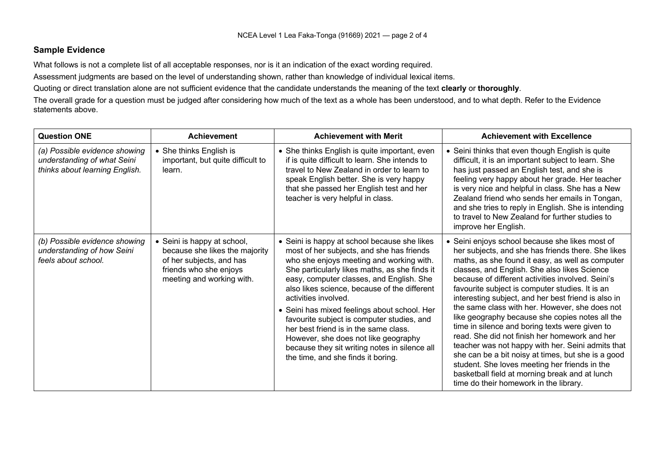#### **Sample Evidence**

What follows is not a complete list of all acceptable responses, nor is it an indication of the exact wording required.

Assessment judgments are based on the level of understanding shown, rather than knowledge of individual lexical items.

Quoting or direct translation alone are not sufficient evidence that the candidate understands the meaning of the text **clearly** or **thoroughly**.

The overall grade for a question must be judged after considering how much of the text as a whole has been understood, and to what depth. Refer to the Evidence statements above.

| <b>Question ONE</b>                                                                            | <b>Achievement</b>                                                                                                                               | <b>Achievement with Merit</b>                                                                                                                                                                                                                                                                                                                                                                                                                                                                                                                                                    | <b>Achievement with Excellence</b>                                                                                                                                                                                                                                                                                                                                                                                                                                                                                                                                                                                                                                                                                                                                                                                                       |
|------------------------------------------------------------------------------------------------|--------------------------------------------------------------------------------------------------------------------------------------------------|----------------------------------------------------------------------------------------------------------------------------------------------------------------------------------------------------------------------------------------------------------------------------------------------------------------------------------------------------------------------------------------------------------------------------------------------------------------------------------------------------------------------------------------------------------------------------------|------------------------------------------------------------------------------------------------------------------------------------------------------------------------------------------------------------------------------------------------------------------------------------------------------------------------------------------------------------------------------------------------------------------------------------------------------------------------------------------------------------------------------------------------------------------------------------------------------------------------------------------------------------------------------------------------------------------------------------------------------------------------------------------------------------------------------------------|
| (a) Possible evidence showing<br>understanding of what Seini<br>thinks about learning English. | • She thinks English is<br>important, but quite difficult to<br>learn.                                                                           | • She thinks English is quite important, even<br>if is quite difficult to learn. She intends to<br>travel to New Zealand in order to learn to<br>speak English better. She is very happy<br>that she passed her English test and her<br>teacher is very helpful in class.                                                                                                                                                                                                                                                                                                        | • Seini thinks that even though English is quite<br>difficult, it is an important subject to learn. She<br>has just passed an English test, and she is<br>feeling very happy about her grade. Her teacher<br>is very nice and helpful in class. She has a New<br>Zealand friend who sends her emails in Tongan,<br>and she tries to reply in English. She is intending<br>to travel to New Zealand for further studies to<br>improve her English.                                                                                                                                                                                                                                                                                                                                                                                        |
| (b) Possible evidence showing<br>understanding of how Seini<br>feels about school.             | • Seini is happy at school,<br>because she likes the majority<br>of her subjects, and has<br>friends who she enjoys<br>meeting and working with. | • Seini is happy at school because she likes<br>most of her subjects, and she has friends<br>who she enjoys meeting and working with.<br>She particularly likes maths, as she finds it<br>easy, computer classes, and English. She<br>also likes science, because of the different<br>activities involved.<br>• Seini has mixed feelings about school. Her<br>favourite subject is computer studies, and<br>her best friend is in the same class.<br>However, she does not like geography<br>because they sit writing notes in silence all<br>the time, and she finds it boring. | • Seini enjoys school because she likes most of<br>her subjects, and she has friends there. She likes<br>maths, as she found it easy, as well as computer<br>classes, and English. She also likes Science<br>because of different activities involved. Seini's<br>favourite subject is computer studies. It is an<br>interesting subject, and her best friend is also in<br>the same class with her. However, she does not<br>like geography because she copies notes all the<br>time in silence and boring texts were given to<br>read. She did not finish her homework and her<br>teacher was not happy with her. Seini admits that<br>she can be a bit noisy at times, but she is a good<br>student. She loves meeting her friends in the<br>basketball field at morning break and at lunch<br>time do their homework in the library. |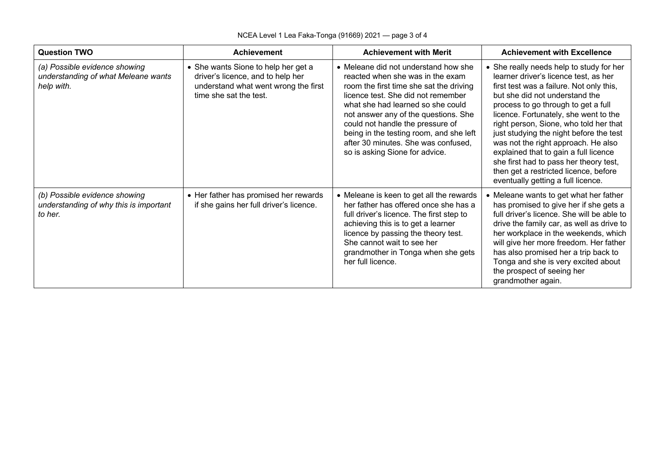| <b>Question TWO</b><br><b>Achievement</b>                                          |                                                                                                                                            | <b>Achievement with Merit</b>                                                                                                                                                                                                                                                                                                                                                                  | <b>Achievement with Excellence</b>                                                                                                                                                                                                                                                                                                                                                                                                                                                                                                            |  |
|------------------------------------------------------------------------------------|--------------------------------------------------------------------------------------------------------------------------------------------|------------------------------------------------------------------------------------------------------------------------------------------------------------------------------------------------------------------------------------------------------------------------------------------------------------------------------------------------------------------------------------------------|-----------------------------------------------------------------------------------------------------------------------------------------------------------------------------------------------------------------------------------------------------------------------------------------------------------------------------------------------------------------------------------------------------------------------------------------------------------------------------------------------------------------------------------------------|--|
| (a) Possible evidence showing<br>understanding of what Meleane wants<br>help with. | • She wants Sione to help her get a<br>driver's licence, and to help her<br>understand what went wrong the first<br>time she sat the test. | • Meleane did not understand how she<br>reacted when she was in the exam<br>room the first time she sat the driving<br>licence test. She did not remember<br>what she had learned so she could<br>not answer any of the questions. She<br>could not handle the pressure of<br>being in the testing room, and she left<br>after 30 minutes. She was confused,<br>so is asking Sione for advice. | • She really needs help to study for her<br>learner driver's licence test, as her<br>first test was a failure. Not only this,<br>but she did not understand the<br>process to go through to get a full<br>licence. Fortunately, she went to the<br>right person, Sione, who told her that<br>just studying the night before the test<br>was not the right approach. He also<br>explained that to gain a full licence<br>she first had to pass her theory test,<br>then get a restricted licence, before<br>eventually getting a full licence. |  |
| (b) Possible evidence showing<br>understanding of why this is important<br>to her. | • Her father has promised her rewards<br>if she gains her full driver's licence.                                                           | • Meleane is keen to get all the rewards<br>her father has offered once she has a<br>full driver's licence. The first step to<br>achieving this is to get a learner<br>licence by passing the theory test.<br>She cannot wait to see her<br>grandmother in Tonga when she gets<br>her full licence.                                                                                            | • Meleane wants to get what her father<br>has promised to give her if she gets a<br>full driver's licence. She will be able to<br>drive the family car, as well as drive to<br>her workplace in the weekends, which<br>will give her more freedom. Her father<br>has also promised her a trip back to<br>Tonga and she is very excited about<br>the prospect of seeing her<br>grandmother again.                                                                                                                                              |  |